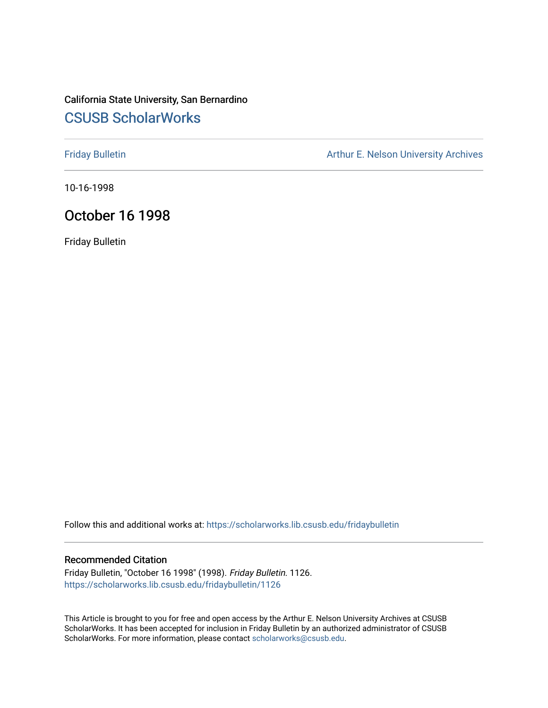### California State University, San Bernardino [CSUSB ScholarWorks](https://scholarworks.lib.csusb.edu/)

[Friday Bulletin](https://scholarworks.lib.csusb.edu/fridaybulletin) **Arthur E. Nelson University Archives** Arthur E. Nelson University Archives

10-16-1998

### October 16 1998

Friday Bulletin

Follow this and additional works at: [https://scholarworks.lib.csusb.edu/fridaybulletin](https://scholarworks.lib.csusb.edu/fridaybulletin?utm_source=scholarworks.lib.csusb.edu%2Ffridaybulletin%2F1126&utm_medium=PDF&utm_campaign=PDFCoverPages)

#### Recommended Citation

Friday Bulletin, "October 16 1998" (1998). Friday Bulletin. 1126. [https://scholarworks.lib.csusb.edu/fridaybulletin/1126](https://scholarworks.lib.csusb.edu/fridaybulletin/1126?utm_source=scholarworks.lib.csusb.edu%2Ffridaybulletin%2F1126&utm_medium=PDF&utm_campaign=PDFCoverPages) 

This Article is brought to you for free and open access by the Arthur E. Nelson University Archives at CSUSB ScholarWorks. It has been accepted for inclusion in Friday Bulletin by an authorized administrator of CSUSB ScholarWorks. For more information, please contact [scholarworks@csusb.edu.](mailto:scholarworks@csusb.edu)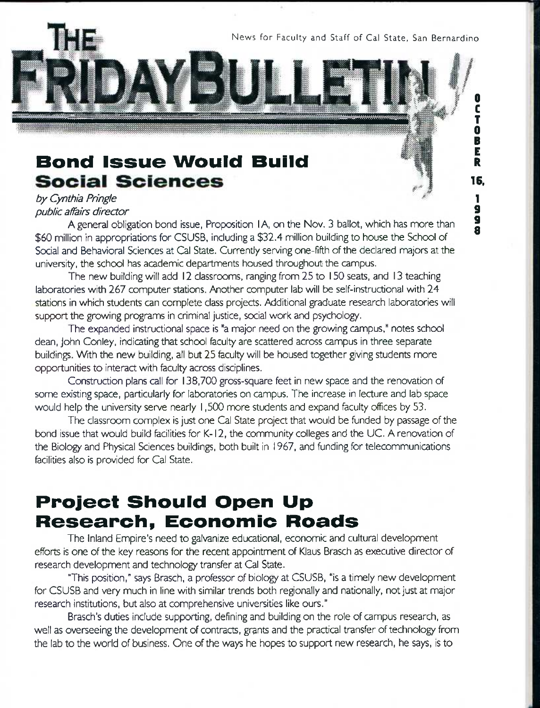News for Faculty and Staff of Cal State, San Bernardino

**0**  C T **0**  B E R

# Bond Issue Would Build **Social Sciences**

### *by Cynthia Pringie public affairs director*

A general obligation bond issue, Proposition I A, on the Nov. 3 ballot, which has more than \$60 million in appropriations for CSUSB, including a \$32.4 million building to house the School of Social and Behavioral Sciences at Cal State. Currently serving one-fifth of the declared majors at the university, the school has academic departments housed throughout the campus.

The new building will add 12 classrooms, ranging from 25 to 150 seats, and 13 teaching laboratories with 267 computer stations. Another computer lab will be self-instructional with 24 stations in which students can complete class projects. Additional graduate research laboratories will support the growing programs in criminal justice, social work and psychology.

The expanded instructional space is "a major need on the growing campus," notes school dean, John Conley, indicating that school feculty are scattered across campus in three separate buildings. With the new building, all but 25 faculty will be housed together giving students more opportunities to interact with faculty across disciplines.

Construction plans call for 138,700 gross-square feet in new space and the renovation of some existing space, particularly for laboratories on campus. The increase in lecture and lab space would help the university serve nearly 1,500 more students and expand feculty offices by 53.

The classroom complex is just one Cal State project that would be funded by passage of the bond issue that would build fecilities for K-12, the community colleges and the UC. A renovation of the Biology and Physical Sciences buildings, both built in 1967, and funding for telecommunications fecilities also is provided for Cal State.

# Project Should Open Up Research, Economic Roads

The Inland Empire's need to galvanize educational, economic and cultural development efforts is one of the key reasons for the recent appointment of Klaus Brasch as executive director of research development and technology transfer at Cal State.

This position," says Brasch, a professor of biology at CSUSB, "is a timely new development for CSUSB and very much in line with similar trends both regionally and nationally, not just at major research institutions, but also at comprehensive universities like ours."

Brasch's duties include supporting, defining and building on the role of campus research, as well as overseeing the development of contracts, grants and the practical transfer of technology from the lab to the world of business. One of the ways he hopes to support new research, he says, is to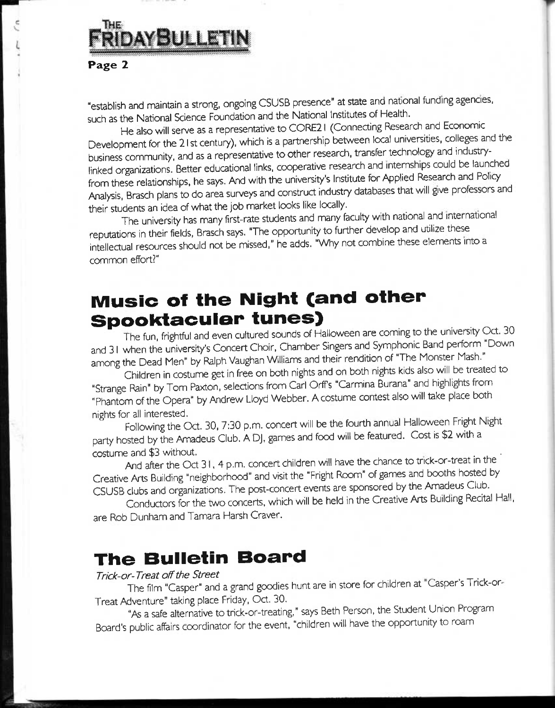# THE FRIDAYBULLETIN

### Page *2*

"establish and maintain a strong, ongoing CSUSB presence" at state and national funding agencies, such as the National Science Foundation and the National Institutes of Health.

He also will serve as a representative to CORE21 (Connecting Research and Economic Development for the 21 st century), which is a partnership between local universities, colleges and the business community, and as a representative to other research, transfer technology and industrylinked organizations. Better educational links, cooperative research and internships could be launched from these relationships, he says. And with the university's Institute for Applied Research and Policy Analysis, Brasch plans to do area surveys and construct industry databases that will give professors and their students an idea of what the job market looks like locally.

The university has many first-rate students and many feculty with national and international reputations in their fields. Brasch says. "The opportunity to further develop and utilize these intellectual resources should not be missed," he adds. "Why not combine these elements into a common effort?"

# Music of the Night (and other Spooktaouier tunes)

The fun, frightful and even cultured sounds of Halloween are coming to the university Oct. 30 and 31 when the university's Concert Choir, Chamber Singers and Symphonic Band perform "Down among the Dead Men" by Ralph Vaughan Williams and their rendition of "The Monster Mash."

Children in costume get in free on both nights and on both nights kids also will be treated to "Strange Rain" by Tom Paxton, selections from Carl Orff's "Carmina Burana" and highlights from " Phantom of the Opera" by Andrew Lloyd Webber. A costume contest also will take place both nights for all interested. The contraction of the contraction of the contraction of the contraction of the contraction of the contraction of the contraction of the contraction of the contraction of the contraction of the c

Following the Oct. 30, 7:30 p.m. concert will be the fourth annual Halloween Fright Night party hosted by the Amadeus Club. A DJ, games and food will be featured. Cost is \$2 with a<br>costume and \$3 without.

And after the Oct 31,4 p.m. concert children will have the chance to trick-or-treat in the Creative Arts Building "neighborhood" and visit the "Fright Room" of games and booths hosted by CSUSB clubs and organizations. The post-concert events are sponsored by the Amadeus Club.

Conductors for the two concerts, which will be held in the Creative Arts Building Recital Hall, are Rob Dunham and Tamara Harsh Craver.

# **The Bulletin Board**<br>Trick-or-Treat off the Street

### **Trick-or-Treat off the Street** *Contract street Contract and the Street* **<b>***Contract of the Street*

The film "Casper" and a grand goodies hunt are in store for children at "Casper's Trick-or-Treat Adventure" taking place Friday, Oct. 30.

"As a safe alternative to trick-or-treating," says Beth Person, the Student Union Program Board's public affairs coordinator for the event, "children will have the opportunity to roam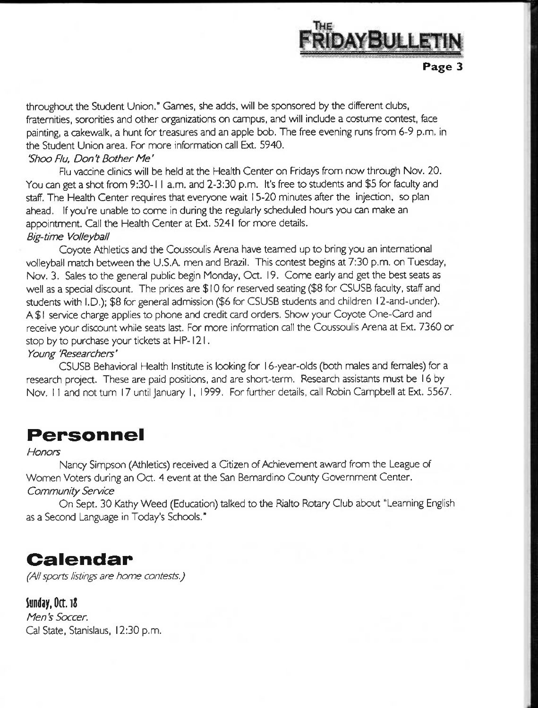

throughout the Student Union." Cannes, she adds, will be sponsored by the different clubs, fraternities, sororities and other organizations on campus, and will include a costume contest, fece painting, a cakewalk, a hunt for treasures and an apple bob. The free evening runs from 6-9 p.m. in the Student Union area. For more information call Ext. 5940.

### *'Shoo Flu, Don't Bother Me'*

Flu vaccine clinics will be held at the Health Center on Fridays from now through Nov. 20. You can get a shot from 9:30-1 I a.m. and 2-3:30 p.m. It's free to students and \$5 for feculty and staff. The Health Center requires that everyone wait 15-20 minutes after the injection, so plan ahead. If you're unable to come in during the regularly scheduled hours you can make an appointment. Call the Health Center at Ext. 5241 for more details. *Big-time Volleyball* 

Coyote Athletics and the Coussoulis Arena have teamed up to bring you an international volleyball match between the U.S.A. men and Brazil. This contest begins at 7:30 p.m. on Tuesday, Nov. 3. Sales to the general public begin Monday, Oct. 19. Come early and get the best seats as well as a special discount. The prices are \$ 10 for reserved seating (\$8 for CSUSB faculty, staff and students with I.D.): \$8 for general admission (\$6 for CSUSB students and children 12-and-under). A \$1 service charge applies to phone and credit card orders. Show your Coyote One-Card and receive your discount while seats last. For more information call the Coussoulis Arena at Ext. 7360 or stop by to purchase your tickets at HP-121.

#### *Young 'Researchers'*

CSUSB Behavioral Health Institute is looking for 16-year-olds (both males and females) for a research project. These are paid positions, and are short-term. Research assistants must be 16 by Nov. 11 and not turn 17 until January 1, 1999. For further details, call Robin Campbell at Ext. 5567.

### Personnel

#### *Honors*

Nancy Simpson (Athletics) received a Citizen of Achievement award from the League of Women Voters during an Oct. 4 event at the San Bernardino County Government Center. *Community Service* 

On Sept. 30 Kathy Weed (Education) talked to the Rialto Rotary Club about "Learning English as a Second Language in Today's Schools."

### Calendar

*(All sports listings are home contests.)* 

### **May, Oct. i2**

*Men's Soccer.*  Cal State, Stanislaus, 12:30 p.m.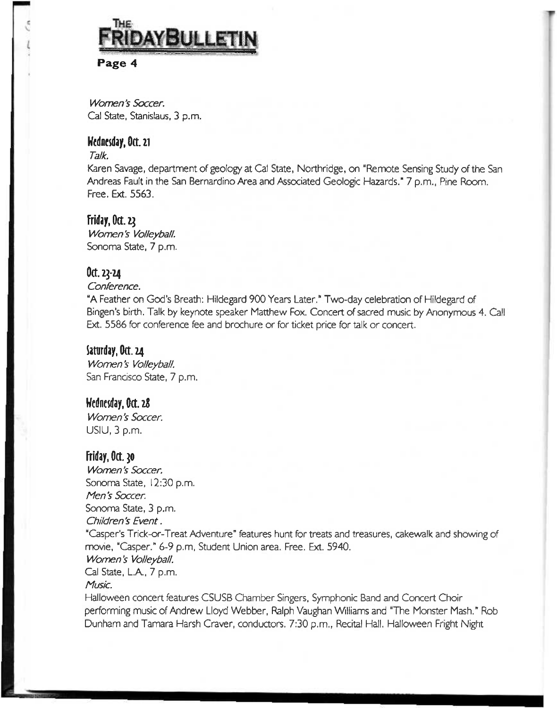

### Page 4

*Women's Soccer.*  Cal State, Stanislaus, 3 p.m.

### Hdncsday,0ct.2i

### *Talk.*

Karen Savage, department of geology at Cal State, Northridge, on "Remote Sensing Study of the San Andreas Fault in the San Bernardino Area and Associated Geologic Hazards." 7 p.m.. Pine Room. Free. Ext. 5563.

### Friday, Oct.  $22$

*Women's Volleyball.*  Sonoma State, 7 p.m.

### $0$ ct. 23-24

### *Conference.*

"A Feather on God's Breath: Hildegard 900 Years Later." Two-day celebration of Hildegard of Bingen's birth. Talk by keynote speaker Matthew Fox. Concert of sacred music by Anonymous 4. Call Ext. 5586 for conference fee and brochure or for ticket price for talk or concert.

### Saturday, Oct. 24

*Women's Volleyball.*  San Francisco State, 7 p.m.

### t/edncrday,0(t.zd

*Women's Soccer.*  USIU, 3 p.m.

### Friday, Oct.  $30$

*Women's Soccer.*  Sonoma State, 12:30 p.m. *Men's Soccer.*  Sonoma State, 3 p.m. *Children's Event.*  "Casper's Trick-or-Treat Adventure" features hunt for treats and treasures, cakewalk and showing of movie, "Casper." 6-9 p.m. Student Union area. Free. Ext. 5940. *Women's Volleyball.*  Cal State, L.A., 7 p.m. *Music.*  Halloween concert features CSUSB Chamber Singers, Symphonic Band and Concert Choir

performing music of Andrew Lloyd Webber, Ralph Vaughan Williams and "The Monster Mash." Rob Dunham and Tamara Harsh Craver, conductors. 7:30 p.m., Recital Hall. Halloween Fright Night